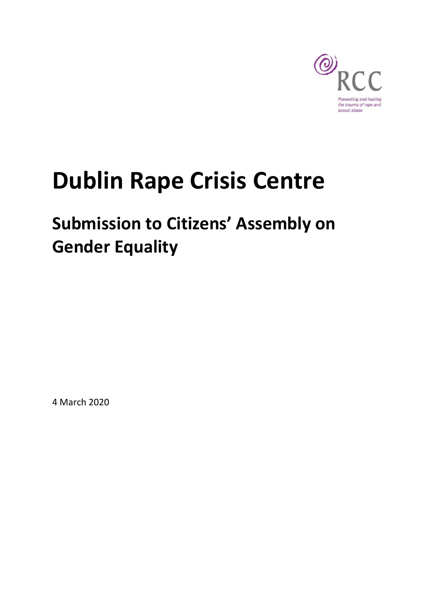

# **Dublin Rape Crisis Centre**

# **Submission to Citizens' Assembly on Gender Equality**

4 March 2020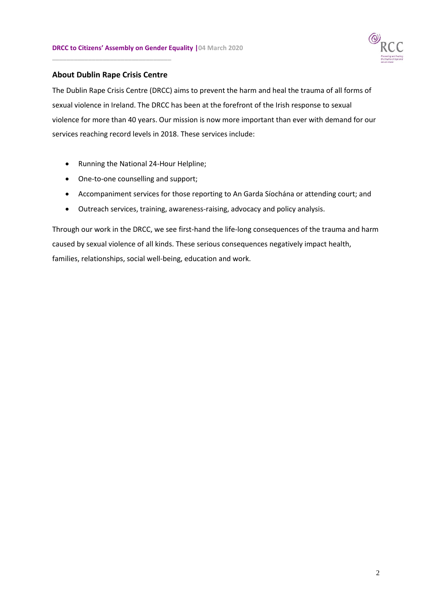

# **About Dublin Rape Crisis Centre**

**\_\_\_\_\_\_\_\_\_\_\_\_\_\_\_\_\_\_\_\_\_\_\_\_\_\_\_\_\_\_\_\_\_**

The Dublin Rape Crisis Centre (DRCC) aims to prevent the harm and heal the trauma of all forms of sexual violence in Ireland. The DRCC has been at the forefront of the Irish response to sexual violence for more than 40 years. Our mission is now more important than ever with demand for our services reaching record levels in 2018. These services include:

- Running the National 24-Hour Helpline;
- One-to-one counselling and support;
- Accompaniment services for those reporting to An Garda Síochána or attending court; and
- Outreach services, training, awareness-raising, advocacy and policy analysis.

Through our work in the DRCC, we see first-hand the life-long consequences of the trauma and harm caused by sexual violence of all kinds. These serious consequences negatively impact health, families, relationships, social well-being, education and work.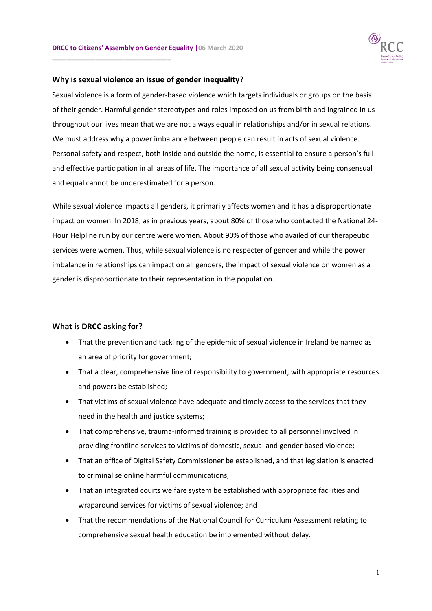**\_\_\_\_\_\_\_\_\_\_\_\_\_\_\_\_\_\_\_\_\_\_\_\_\_\_\_\_\_\_\_\_\_**



#### **Why is sexual violence an issue of gender inequality?**

Sexual violence is a form of gender-based violence which targets individuals or groups on the basis of their gender. Harmful gender stereotypes and roles imposed on us from birth and ingrained in us throughout our lives mean that we are not always equal in relationships and/or in sexual relations. We must address why a power imbalance between people can result in acts of sexual violence. Personal safety and respect, both inside and outside the home, is essential to ensure a person's full and effective participation in all areas of life. The importance of all sexual activity being consensual and equal cannot be underestimated for a person.

While sexual violence impacts all genders, it primarily affects women and it has a disproportionate impact on women. In 2018, as in previous years, about 80% of those who contacted the National 24- Hour Helpline run by our centre were women. About 90% of those who availed of our therapeutic services were women. Thus, while sexual violence is no respecter of gender and while the power imbalance in relationships can impact on all genders, the impact of sexual violence on women as a gender is disproportionate to their representation in the population.

# **What is DRCC asking for?**

- That the prevention and tackling of the epidemic of sexual violence in Ireland be named as an area of priority for government;
- That a clear, comprehensive line of responsibility to government, with appropriate resources and powers be established;
- That victims of sexual violence have adequate and timely access to the services that they need in the health and justice systems;
- That comprehensive, trauma-informed training is provided to all personnel involved in providing frontline services to victims of domestic, sexual and gender based violence;
- That an office of Digital Safety Commissioner be established, and that legislation is enacted to criminalise online harmful communications;
- That an integrated courts welfare system be established with appropriate facilities and wraparound services for victims of sexual violence; and
- That the recommendations of the National Council for Curriculum Assessment relating to comprehensive sexual health education be implemented without delay.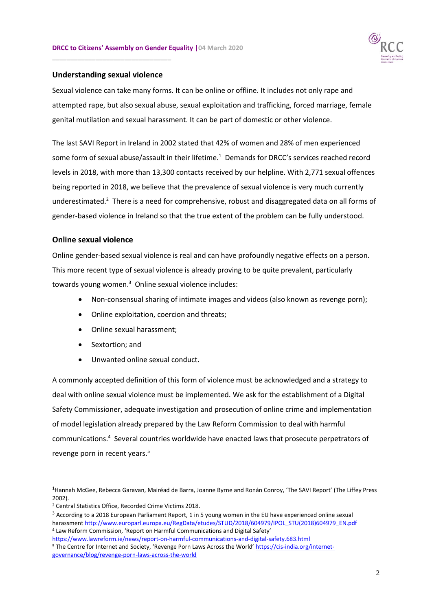

# **Understanding sexual violence**

**\_\_\_\_\_\_\_\_\_\_\_\_\_\_\_\_\_\_\_\_\_\_\_\_\_\_\_\_\_\_\_\_\_**

Sexual violence can take many forms. It can be online or offline. It includes not only rape and attempted rape, but also sexual abuse, sexual exploitation and trafficking, forced marriage, female genital mutilation and sexual harassment. It can be part of domestic or other violence.

The last SAVI Report in Ireland in 2002 stated that 42% of women and 28% of men experienced some form of sexual abuse/assault in their lifetime.<sup>1</sup> Demands for DRCC's services reached record levels in 2018, with more than 13,300 contacts received by our helpline. With 2,771 sexual offences being reported in 2018, we believe that the prevalence of sexual violence is very much currently underestimated.<sup>2</sup> There is a need for comprehensive, robust and disaggregated data on all forms of gender-based violence in Ireland so that the true extent of the problem can be fully understood.

# **Online sexual violence**

Online gender-based sexual violence is real and can have profoundly negative effects on a person. This more recent type of sexual violence is already proving to be quite prevalent, particularly towards young women.<sup>3</sup> Online sexual violence includes:

- Non-consensual sharing of intimate images and videos (also known as revenge porn);
- Online exploitation, coercion and threats;
- Online sexual harassment;
- Sextortion: and
- Unwanted online sexual conduct.

A commonly accepted definition of this form of violence must be acknowledged and a strategy to deal with online sexual violence must be implemented. We ask for the establishment of a Digital Safety Commissioner, adequate investigation and prosecution of online crime and implementation of model legislation already prepared by the Law Reform Commission to deal with harmful communications.<sup>4</sup> Several countries worldwide have enacted laws that prosecute perpetrators of revenge porn in recent years.<sup>5</sup>

-

<sup>&</sup>lt;sup>1</sup>Hannah McGee, Rebecca Garavan, Mairéad de Barra, Joanne Byrne and Ronán Conroy, 'The SAVI Report' (The Liffey Press 2002).

<sup>2</sup> Central Statistics Office, Recorded Crime Victims 2018.

<sup>&</sup>lt;sup>3</sup> According to a 2018 European Parliament Report, 1 in 5 young women in the EU have experienced online sexual harassment [http://www.europarl.europa.eu/RegData/etudes/STUD/2018/604979/IPOL\\_STU\(2018\)604979\\_EN.pdf](http://www.europarl.europa.eu/RegData/etudes/STUD/2018/604979/IPOL_STU(2018)604979_EN.pdf) <sup>4</sup> Law Reform Commission, 'Report on Harmful Communications and Digital Safety'

<https://www.lawreform.ie/news/report-on-harmful-communications-and-digital-safety.683.html> <sup>5</sup> The Centre for Internet and Society, 'Revenge Porn Laws Across the World' [https://cis-india.org/internet](https://cis-india.org/internet-governance/blog/revenge-porn-laws-across-the-world)[governance/blog/revenge-porn-laws-across-the-world](https://cis-india.org/internet-governance/blog/revenge-porn-laws-across-the-world)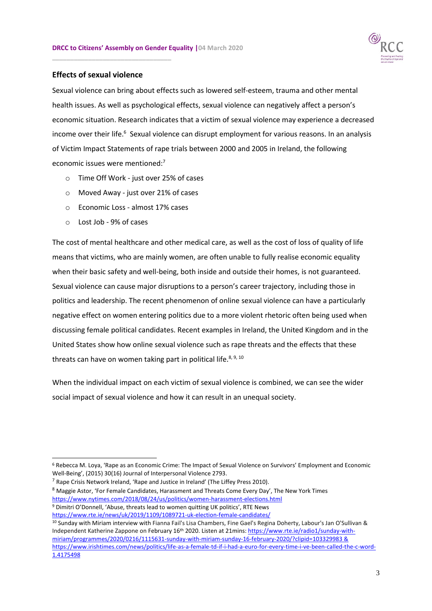

#### **Effects of sexual violence**

**\_\_\_\_\_\_\_\_\_\_\_\_\_\_\_\_\_\_\_\_\_\_\_\_\_\_\_\_\_\_\_\_\_**

Sexual violence can bring about effects such as lowered self-esteem, trauma and other mental health issues. As well as psychological effects, sexual violence can negatively affect a person's economic situation. Research indicates that a victim of sexual violence may experience a decreased income over their life.<sup>6</sup> Sexual violence can disrupt employment for various reasons. In an analysis of Victim Impact Statements of rape trials between 2000 and 2005 in Ireland, the following economic issues were mentioned:<sup>7</sup>

- o Time Off Work just over 25% of cases
- o Moved Away just over 21% of cases
- o Economic Loss almost 17% cases
- o Lost Job 9% of cases

-

The cost of mental healthcare and other medical care, as well as the cost of loss of quality of life means that victims, who are mainly women, are often unable to fully realise economic equality when their basic safety and well-being, both inside and outside their homes, is not guaranteed. Sexual violence can cause major disruptions to a person's career trajectory, including those in politics and leadership. The recent phenomenon of online sexual violence can have a particularly negative effect on women entering politics due to a more violent rhetoric often being used when discussing female political candidates. Recent examples in Ireland, the United Kingdom and in the United States show how online sexual violence such as rape threats and the effects that these threats can have on women taking part in political life.<sup>8, 9, 10</sup>

When the individual impact on each victim of sexual violence is combined, we can see the wider social impact of sexual violence and how it can result in an unequal society.

<sup>6</sup> Rebecca M. Loya, 'Rape as an Economic Crime: The Impact of Sexual Violence on Survivors' Employment and Economic Well-Being', (2015) 30(16) Journal of Interpersonal Violence 2793.

 $<sup>7</sup>$  Rape Crisis Network Ireland, 'Rape and Justice in Ireland' (The Liffey Press 2010).</sup>

<sup>8</sup> Maggie Astor, 'For Female Candidates, Harassment and Threats Come Every Day', The New York Times <https://www.nytimes.com/2018/08/24/us/politics/women-harassment-elections.html> <sup>9</sup> Dimitri O'Donnell, 'Abuse, threats lead to women quitting UK politics', RTE News <https://www.rte.ie/news/uk/2019/1109/1089721-uk-election-female-candidates/>

<sup>10</sup> Sunday with Miriam interview with Fianna Fail's Lisa Chambers, Fine Gael's Regina Doherty, Labour's Jan O'Sullivan & Independent Katherine Zappone on February 16<sup>th</sup> 2020. Listen at 21mins: [https://www.rte.ie/radio1/sunday-with](https://www.rte.ie/radio1/sunday-with-miriam/programmes/2020/0216/1115631-sunday-with-miriam-sunday-16-february-2020/?clipid=103329983)[miriam/programmes/2020/0216/1115631-sunday-with-miriam-sunday-16-february-2020/?clipid=103329983](https://www.rte.ie/radio1/sunday-with-miriam/programmes/2020/0216/1115631-sunday-with-miriam-sunday-16-february-2020/?clipid=103329983) & [https://www.irishtimes.com/news/politics/life-as-a-female-td-if-i-had-a-euro-for-every-time-i-ve-been-called-the-c-word-](https://www.irishtimes.com/news/politics/life-as-a-female-td-if-i-had-a-euro-for-every-time-i-ve-been-called-the-c-word-1.4175498)[1.4175498](https://www.irishtimes.com/news/politics/life-as-a-female-td-if-i-had-a-euro-for-every-time-i-ve-been-called-the-c-word-1.4175498)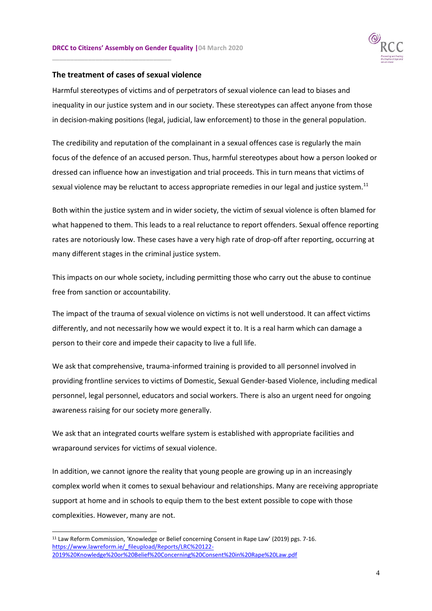

#### **The treatment of cases of sexual violence**

**\_\_\_\_\_\_\_\_\_\_\_\_\_\_\_\_\_\_\_\_\_\_\_\_\_\_\_\_\_\_\_\_\_**

Harmful stereotypes of victims and of perpetrators of sexual violence can lead to biases and inequality in our justice system and in our society. These stereotypes can affect anyone from those in decision-making positions (legal, judicial, law enforcement) to those in the general population.

The credibility and reputation of the complainant in a sexual offences case is regularly the main focus of the defence of an accused person. Thus, harmful stereotypes about how a person looked or dressed can influence how an investigation and trial proceeds. This in turn means that victims of sexual violence may be reluctant to access appropriate remedies in our legal and justice system.<sup>11</sup>

Both within the justice system and in wider society, the victim of sexual violence is often blamed for what happened to them. This leads to a real reluctance to report offenders. Sexual offence reporting rates are notoriously low. These cases have a very high rate of drop-off after reporting, occurring at many different stages in the criminal justice system.

This impacts on our whole society, including permitting those who carry out the abuse to continue free from sanction or accountability.

The impact of the trauma of sexual violence on victims is not well understood. It can affect victims differently, and not necessarily how we would expect it to. It is a real harm which can damage a person to their core and impede their capacity to live a full life.

We ask that comprehensive, trauma-informed training is provided to all personnel involved in providing frontline services to victims of Domestic, Sexual Gender-based Violence, including medical personnel, legal personnel, educators and social workers. There is also an urgent need for ongoing awareness raising for our society more generally.

We ask that an integrated courts welfare system is established with appropriate facilities and wraparound services for victims of sexual violence.

In addition, we cannot ignore the reality that young people are growing up in an increasingly complex world when it comes to sexual behaviour and relationships. Many are receiving appropriate support at home and in schools to equip them to the best extent possible to cope with those complexities. However, many are not.

1

<sup>&</sup>lt;sup>11</sup> Law Reform Commission, 'Knowledge or Belief concerning Consent in Rape Law' (2019) pgs. 7-16. [https://www.lawreform.ie/\\_fileupload/Reports/LRC%20122-](https://www.lawreform.ie/_fileupload/Reports/LRC%20122-2019%20Knowledge%20or%20Belief%20Concerning%20Consent%20in%20Rape%20Law.pdf) [2019%20Knowledge%20or%20Belief%20Concerning%20Consent%20in%20Rape%20Law.pdf](https://www.lawreform.ie/_fileupload/Reports/LRC%20122-2019%20Knowledge%20or%20Belief%20Concerning%20Consent%20in%20Rape%20Law.pdf)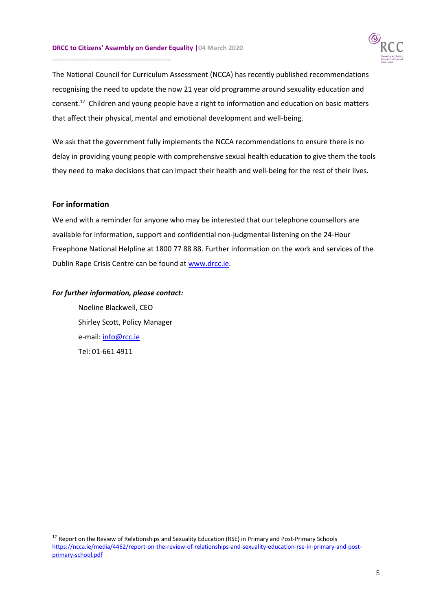**\_\_\_\_\_\_\_\_\_\_\_\_\_\_\_\_\_\_\_\_\_\_\_\_\_\_\_\_\_\_\_\_\_**



The National Council for Curriculum Assessment (NCCA) has recently published recommendations recognising the need to update the now 21 year old programme around sexuality education and consent.<sup>12</sup> Children and young people have a right to information and education on basic matters that affect their physical, mental and emotional development and well-being.

We ask that the government fully implements the NCCA recommendations to ensure there is no delay in providing young people with comprehensive sexual health education to give them the tools they need to make decisions that can impact their health and well-being for the rest of their lives.

# **For information**

-

We end with a reminder for anyone who may be interested that our telephone counsellors are available for information, support and confidential non-judgmental listening on the 24-Hour Freephone National Helpline at 1800 77 88 88. Further information on the work and services of the Dublin Rape Crisis Centre can be found a[t www.drcc.ie.](http://www.drcc.ie/)

#### *For further information, please contact:*

Noeline Blackwell, CEO Shirley Scott, Policy Manager e-mail: [info@rcc.ie](mailto:info@rcc.ie) Tel: 01-661 4911

<sup>&</sup>lt;sup>12</sup> Report on the Review of Relationships and Sexuality Education (RSE) in Primary and Post-Primary Schools [https://ncca.ie/media/4462/report-on-the-review-of-relationships-and-sexuality-education-rse-in-primary-and-post](https://ncca.ie/media/4462/report-on-the-review-of-relationships-and-sexuality-education-rse-in-primary-and-post-primary-school.pdf)[primary-school.pdf](https://ncca.ie/media/4462/report-on-the-review-of-relationships-and-sexuality-education-rse-in-primary-and-post-primary-school.pdf)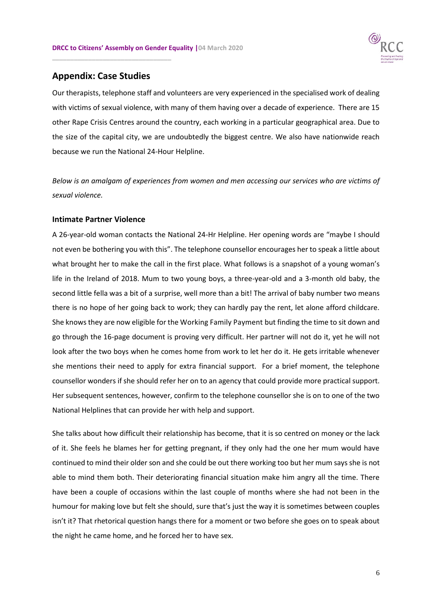

# **Appendix: Case Studies**

**\_\_\_\_\_\_\_\_\_\_\_\_\_\_\_\_\_\_\_\_\_\_\_\_\_\_\_\_\_\_\_\_\_**

Our therapists, telephone staff and volunteers are very experienced in the specialised work of dealing with victims of sexual violence, with many of them having over a decade of experience. There are 15 other Rape Crisis Centres around the country, each working in a particular geographical area. Due to the size of the capital city, we are undoubtedly the biggest centre. We also have nationwide reach because we run the National 24-Hour Helpline.

*Below is an amalgam of experiences from women and men accessing our services who are victims of sexual violence.*

#### **Intimate Partner Violence**

A 26-year-old woman contacts the National 24-Hr Helpline. Her opening words are "maybe I should not even be bothering you with this". The telephone counsellor encourages her to speak a little about what brought her to make the call in the first place. What follows is a snapshot of a young woman's life in the Ireland of 2018. Mum to two young boys, a three-year-old and a 3-month old baby, the second little fella was a bit of a surprise, well more than a bit! The arrival of baby number two means there is no hope of her going back to work; they can hardly pay the rent, let alone afford childcare. She knows they are now eligible for the Working Family Payment but finding the time to sit down and go through the 16-page document is proving very difficult. Her partner will not do it, yet he will not look after the two boys when he comes home from work to let her do it. He gets irritable whenever she mentions their need to apply for extra financial support. For a brief moment, the telephone counsellor wonders if she should refer her on to an agency that could provide more practical support. Her subsequent sentences, however, confirm to the telephone counsellor she is on to one of the two National Helplines that can provide her with help and support.

She talks about how difficult their relationship has become, that it is so centred on money or the lack of it. She feels he blames her for getting pregnant, if they only had the one her mum would have continued to mind their older son and she could be out there working too but her mum says she is not able to mind them both. Their deteriorating financial situation make him angry all the time. There have been a couple of occasions within the last couple of months where she had not been in the humour for making love but felt she should, sure that's just the way it is sometimes between couples isn't it? That rhetorical question hangs there for a moment or two before she goes on to speak about the night he came home, and he forced her to have sex.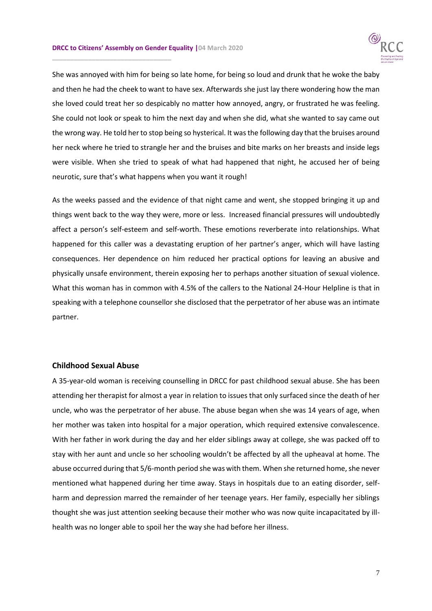**\_\_\_\_\_\_\_\_\_\_\_\_\_\_\_\_\_\_\_\_\_\_\_\_\_\_\_\_\_\_\_\_\_**



She was annoyed with him for being so late home, for being so loud and drunk that he woke the baby and then he had the cheek to want to have sex. Afterwards she just lay there wondering how the man she loved could treat her so despicably no matter how annoyed, angry, or frustrated he was feeling. She could not look or speak to him the next day and when she did, what she wanted to say came out the wrong way. He told her to stop being so hysterical. It was the following day that the bruises around her neck where he tried to strangle her and the bruises and bite marks on her breasts and inside legs were visible. When she tried to speak of what had happened that night, he accused her of being neurotic, sure that's what happens when you want it rough!

As the weeks passed and the evidence of that night came and went, she stopped bringing it up and things went back to the way they were, more or less. Increased financial pressures will undoubtedly affect a person's self-esteem and self-worth. These emotions reverberate into relationships. What happened for this caller was a devastating eruption of her partner's anger, which will have lasting consequences. Her dependence on him reduced her practical options for leaving an abusive and physically unsafe environment, therein exposing her to perhaps another situation of sexual violence. What this woman has in common with 4.5% of the callers to the National 24-Hour Helpline is that in speaking with a telephone counsellor she disclosed that the perpetrator of her abuse was an intimate partner.

#### **Childhood Sexual Abuse**

A 35-year-old woman is receiving counselling in DRCC for past childhood sexual abuse. She has been attending her therapist for almost a year in relation to issues that only surfaced since the death of her uncle, who was the perpetrator of her abuse. The abuse began when she was 14 years of age, when her mother was taken into hospital for a major operation, which required extensive convalescence. With her father in work during the day and her elder siblings away at college, she was packed off to stay with her aunt and uncle so her schooling wouldn't be affected by all the upheaval at home. The abuse occurred during that 5/6-month period she was with them. When she returned home, she never mentioned what happened during her time away. Stays in hospitals due to an eating disorder, selfharm and depression marred the remainder of her teenage years. Her family, especially her siblings thought she was just attention seeking because their mother who was now quite incapacitated by illhealth was no longer able to spoil her the way she had before her illness.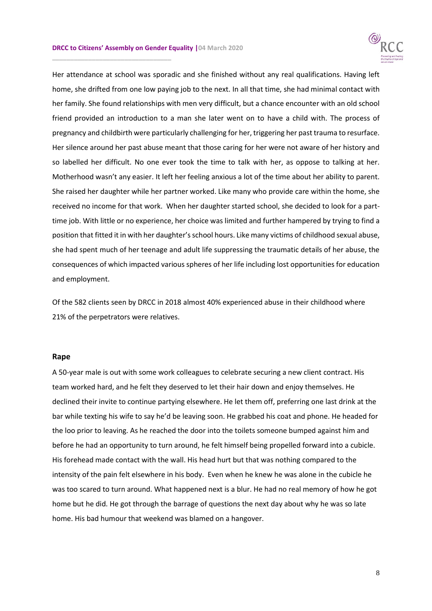**\_\_\_\_\_\_\_\_\_\_\_\_\_\_\_\_\_\_\_\_\_\_\_\_\_\_\_\_\_\_\_\_\_**



Her attendance at school was sporadic and she finished without any real qualifications. Having left home, she drifted from one low paying job to the next. In all that time, she had minimal contact with her family. She found relationships with men very difficult, but a chance encounter with an old school friend provided an introduction to a man she later went on to have a child with. The process of pregnancy and childbirth were particularly challenging for her, triggering her past trauma to resurface. Her silence around her past abuse meant that those caring for her were not aware of her history and so labelled her difficult. No one ever took the time to talk with her, as oppose to talking at her. Motherhood wasn't any easier. It left her feeling anxious a lot of the time about her ability to parent. She raised her daughter while her partner worked. Like many who provide care within the home, she received no income for that work. When her daughter started school, she decided to look for a parttime job. With little or no experience, her choice was limited and further hampered by trying to find a position that fitted it in with her daughter's school hours. Like many victims of childhood sexual abuse, she had spent much of her teenage and adult life suppressing the traumatic details of her abuse, the consequences of which impacted various spheres of her life including lost opportunities for education and employment.

Of the 582 clients seen by DRCC in 2018 almost 40% experienced abuse in their childhood where 21% of the perpetrators were relatives.

#### **Rape**

A 50-year male is out with some work colleagues to celebrate securing a new client contract. His team worked hard, and he felt they deserved to let their hair down and enjoy themselves. He declined their invite to continue partying elsewhere. He let them off, preferring one last drink at the bar while texting his wife to say he'd be leaving soon. He grabbed his coat and phone. He headed for the loo prior to leaving. As he reached the door into the toilets someone bumped against him and before he had an opportunity to turn around, he felt himself being propelled forward into a cubicle. His forehead made contact with the wall. His head hurt but that was nothing compared to the intensity of the pain felt elsewhere in his body. Even when he knew he was alone in the cubicle he was too scared to turn around. What happened next is a blur. He had no real memory of how he got home but he did. He got through the barrage of questions the next day about why he was so late home. His bad humour that weekend was blamed on a hangover.